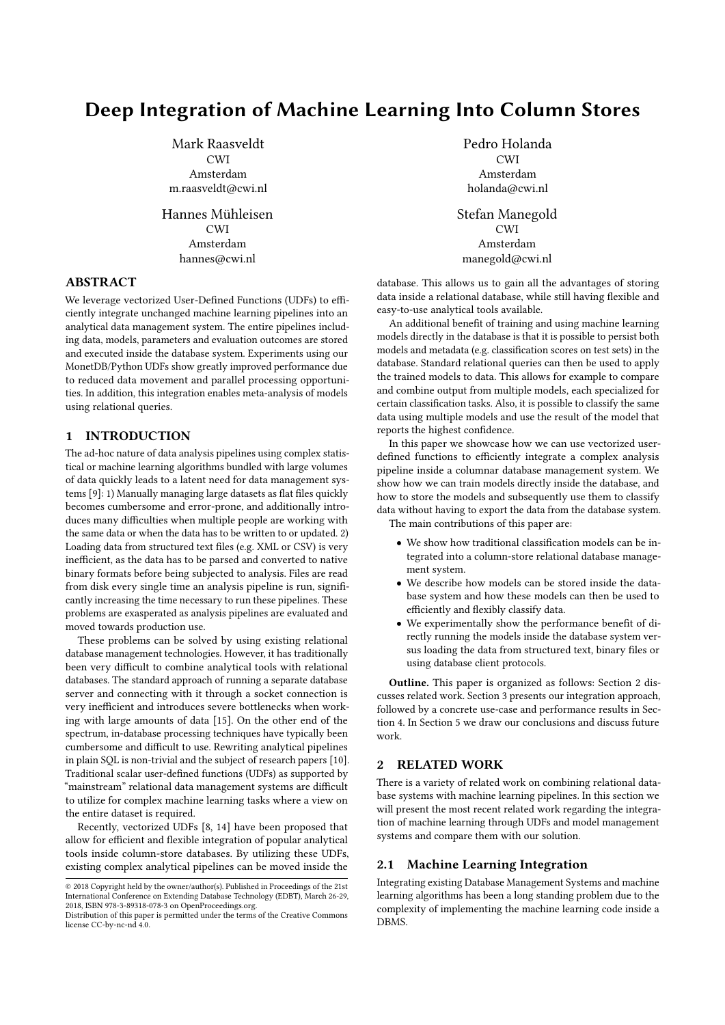# Deep Integration of Machine Learning Into Column Stores

Mark Raasveldt CWI Amsterdam m.raasveldt@cwi.nl

Hannes Mühleisen CWI Amsterdam hannes@cwi.nl

# ABSTRACT

We leverage vectorized User-Defined Functions (UDFs) to efficiently integrate unchanged machine learning pipelines into an analytical data management system. The entire pipelines including data, models, parameters and evaluation outcomes are stored and executed inside the database system. Experiments using our MonetDB/Python UDFs show greatly improved performance due to reduced data movement and parallel processing opportunities. In addition, this integration enables meta-analysis of models using relational queries.

# 1 INTRODUCTION

The ad-hoc nature of data analysis pipelines using complex statistical or machine learning algorithms bundled with large volumes of data quickly leads to a latent need for data management sys-tems [\[9\]](#page-3-0): 1) Manually managing large datasets as flat files quickly becomes cumbersome and error-prone, and additionally introduces many difficulties when multiple people are working with the same data or when the data has to be written to or updated. 2) Loading data from structured text files (e.g. XML or CSV) is very inefficient, as the data has to be parsed and converted to native binary formats before being subjected to analysis. Files are read from disk every single time an analysis pipeline is run, significantly increasing the time necessary to run these pipelines. These problems are exasperated as analysis pipelines are evaluated and moved towards production use.

These problems can be solved by using existing relational database management technologies. However, it has traditionally been very difficult to combine analytical tools with relational databases. The standard approach of running a separate database server and connecting with it through a socket connection is very inefficient and introduces severe bottlenecks when working with large amounts of data [\[15\]](#page-3-1). On the other end of the spectrum, in-database processing techniques have typically been cumbersome and difficult to use. Rewriting analytical pipelines in plain SQL is non-trivial and the subject of research papers [\[10\]](#page-3-2). Traditional scalar user-defined functions (UDFs) as supported by "mainstream" relational data management systems are difficult to utilize for complex machine learning tasks where a view on the entire dataset is required.

Recently, vectorized UDFs [\[8,](#page-3-3) [14\]](#page-3-4) have been proposed that allow for efficient and flexible integration of popular analytical tools inside column-store databases. By utilizing these UDFs, existing complex analytical pipelines can be moved inside the

Pedro Holanda CWI Amsterdam holanda@cwi.nl

Stefan Manegold CWI Amsterdam manegold@cwi.nl

database. This allows us to gain all the advantages of storing data inside a relational database, while still having flexible and easy-to-use analytical tools available.

An additional benefit of training and using machine learning models directly in the database is that it is possible to persist both models and metadata (e.g. classification scores on test sets) in the database. Standard relational queries can then be used to apply the trained models to data. This allows for example to compare and combine output from multiple models, each specialized for certain classification tasks. Also, it is possible to classify the same data using multiple models and use the result of the model that reports the highest confidence.

In this paper we showcase how we can use vectorized userdefined functions to efficiently integrate a complex analysis pipeline inside a columnar database management system. We show how we can train models directly inside the database, and how to store the models and subsequently use them to classify data without having to export the data from the database system. The main contributions of this paper are:

- We show how traditional classification models can be integrated into a column-store relational database management system.
- We describe how models can be stored inside the database system and how these models can then be used to efficiently and flexibly classify data.
- We experimentally show the performance benefit of directly running the models inside the database system versus loading the data from structured text, binary files or using database client protocols.

Outline. This paper is organized as follows: Section [2](#page-0-0) discusses related work. Section [3](#page-1-0) presents our integration approach, followed by a concrete use-case and performance results in Section [4.](#page-2-0) In Section [5](#page-3-5) we draw our conclusions and discuss future work.

# <span id="page-0-0"></span>2 RELATED WORK

There is a variety of related work on combining relational database systems with machine learning pipelines. In this section we will present the most recent related work regarding the integration of machine learning through UDFs and model management systems and compare them with our solution.

### 2.1 Machine Learning Integration

Integrating existing Database Management Systems and machine learning algorithms has been a long standing problem due to the complexity of implementing the machine learning code inside a DBMS.

<sup>©</sup> 2018 Copyright held by the owner/author(s). Published in Proceedings of the 21st International Conference on Extending Database Technology (EDBT), March 26-29, 2018, ISBN 978-3-89318-078-3 on OpenProceedings.org.

Distribution of this paper is permitted under the terms of the Creative Commons license CC-by-nc-nd 4.0.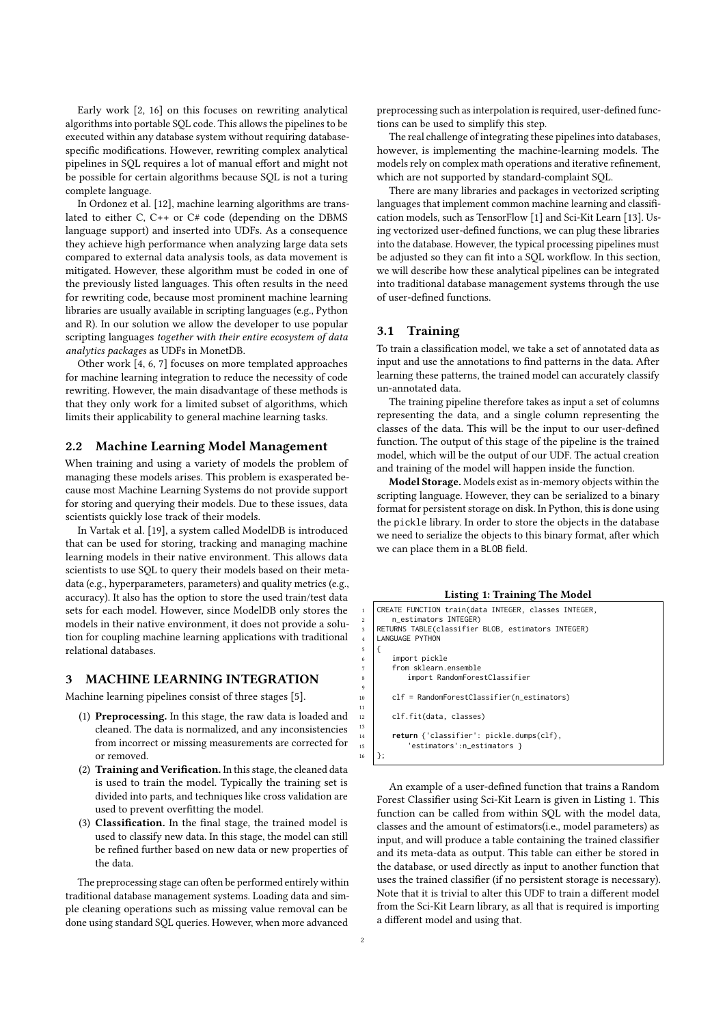Early work [\[2,](#page-3-6) [16\]](#page-3-7) on this focuses on rewriting analytical algorithms into portable SQL code. This allows the pipelines to be executed within any database system without requiring databasespecific modifications. However, rewriting complex analytical pipelines in SQL requires a lot of manual effort and might not be possible for certain algorithms because SQL is not a turing complete language.

In Ordonez et al. [\[12\]](#page-3-8), machine learning algorithms are translated to either C, C++ or C# code (depending on the DBMS language support) and inserted into UDFs. As a consequence they achieve high performance when analyzing large data sets compared to external data analysis tools, as data movement is mitigated. However, these algorithm must be coded in one of the previously listed languages. This often results in the need for rewriting code, because most prominent machine learning libraries are usually available in scripting languages (e.g., Python and R). In our solution we allow the developer to use popular scripting languages *together with their entire ecosystem of data analytics packages* as UDFs in MonetDB.

Other work [\[4,](#page-3-9) [6,](#page-3-10) [7\]](#page-3-11) focuses on more templated approaches for machine learning integration to reduce the necessity of code rewriting. However, the main disadvantage of these methods is that they only work for a limited subset of algorithms, which limits their applicability to general machine learning tasks.

#### 2.2 Machine Learning Model Management

When training and using a variety of models the problem of managing these models arises. This problem is exasperated because most Machine Learning Systems do not provide support for storing and querying their models. Due to these issues, data scientists quickly lose track of their models.

In Vartak et al. [\[19\]](#page-3-12), a system called ModelDB is introduced that can be used for storing, tracking and managing machine learning models in their native environment. This allows data scientists to use SQL to query their models based on their metadata (e.g., hyperparameters, parameters) and quality metrics (e.g., accuracy). It also has the option to store the used train/test data sets for each model. However, since ModelDB only stores the models in their native environment, it does not provide a solution for coupling machine learning applications with traditional relational databases.

#### <span id="page-1-0"></span>3 MACHINE LEARNING INTEGRATION

Machine learning pipelines consist of three stages [\[5\]](#page-3-13).

- (1) Preprocessing. In this stage, the raw data is loaded and cleaned. The data is normalized, and any inconsistencies from incorrect or missing measurements are corrected for or removed.
- (2) Training and Verification. In this stage, the cleaned data is used to train the model. Typically the training set is divided into parts, and techniques like cross validation are used to prevent overfitting the model.
- (3) Classification. In the final stage, the trained model is used to classify new data. In this stage, the model can still be refined further based on new data or new properties of the data.

The preprocessing stage can often be performed entirely within traditional database management systems. Loading data and simple cleaning operations such as missing value removal can be done using standard SQL queries. However, when more advanced

preprocessing such as interpolation is required, user-defined functions can be used to simplify this step.

The real challenge of integrating these pipelines into databases, however, is implementing the machine-learning models. The models rely on complex math operations and iterative refinement, which are not supported by standard-complaint SQL.

There are many libraries and packages in vectorized scripting languages that implement common machine learning and classification models, such as TensorFlow [\[1\]](#page-3-14) and Sci-Kit Learn [\[13\]](#page-3-15). Using vectorized user-defined functions, we can plug these libraries into the database. However, the typical processing pipelines must be adjusted so they can fit into a SQL workflow. In this section, we will describe how these analytical pipelines can be integrated into traditional database management systems through the use of user-defined functions.

## 3.1 Training

To train a classification model, we take a set of annotated data as input and use the annotations to find patterns in the data. After learning these patterns, the trained model can accurately classify un-annotated data.

The training pipeline therefore takes as input a set of columns representing the data, and a single column representing the classes of the data. This will be the input to our user-defined function. The output of this stage of the pipeline is the trained model, which will be the output of our UDF. The actual creation and training of the model will happen inside the function.

Model Storage. Models exist as in-memory objects within the scripting language. However, they can be serialized to a binary format for persistent storage on disk. In Python, this is done using the pickle library. In order to store the objects in the database we need to serialize the objects to this binary format, after which we can place them in a BLOB field.

#### Listing 1: Training The Model

<span id="page-1-1"></span>

| $\mathbf{1}$   | CREATE FUNCTION train(data INTEGER, classes INTEGER, |
|----------------|------------------------------------------------------|
| 2              | n_estimators INTEGER)                                |
| 3              | RETURNS TABLE(classifier BLOB, estimators INTEGER)   |
| $\overline{4}$ | LANGUAGE PYTHON                                      |
| 5              |                                                      |
| 6              | import pickle                                        |
| $\overline{7}$ | from sklearn.ensemble                                |
| 8              | import RandomForestClassifier                        |
| $\overline{9}$ |                                                      |
| 10             | clf = RandomForestClassifier(n_estimators)           |
| 11             |                                                      |
| 12             | clf.fit(data, classes)                               |
| 13             |                                                      |
| 14             | return {'classifier': pickle.dumps(clf),             |
| 15             | 'estimators':n_estimators }                          |
| 16             |                                                      |
|                |                                                      |

An example of a user-defined function that trains a Random Forest Classifier using Sci-Kit Learn is given in Listing [1.](#page-1-1) This function can be called from within SQL with the model data, classes and the amount of estimators(i.e., model parameters) as input, and will produce a table containing the trained classifier and its meta-data as output. This table can either be stored in the database, or used directly as input to another function that uses the trained classifier (if no persistent storage is necessary). Note that it is trivial to alter this UDF to train a different model from the Sci-Kit Learn library, as all that is required is importing a different model and using that.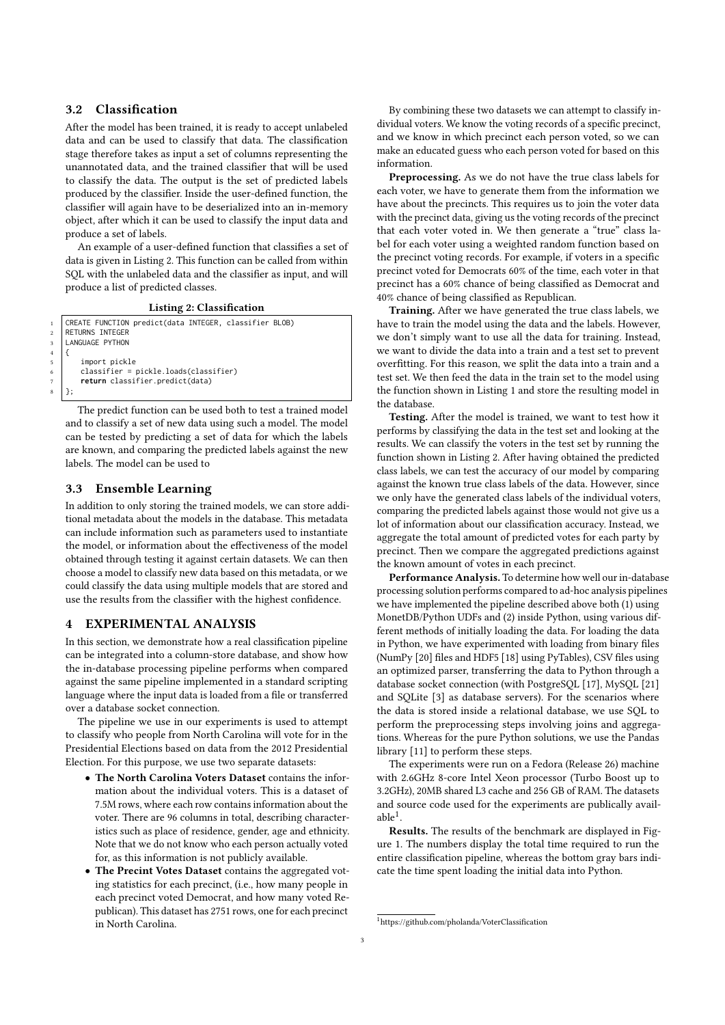# 3.2 Classification

After the model has been trained, it is ready to accept unlabeled data and can be used to classify that data. The classification stage therefore takes as input a set of columns representing the unannotated data, and the trained classifier that will be used to classify the data. The output is the set of predicted labels produced by the classifier. Inside the user-defined function, the classifier will again have to be deserialized into an in-memory object, after which it can be used to classify the input data and produce a set of labels.

An example of a user-defined function that classifies a set of data is given in Listing [2.](#page-2-1) This function can be called from within SQL with the unlabeled data and the classifier as input, and will produce a list of predicted classes.

Listing 2: Classification

```
CREATE FUNCTION predict(data INTEGER, classifier BLOB)
    RETURNS INTEGER
3 LANGUAGE PYTHON
        import pickle
        6 classifier = pickle.loads(classifier)
        7 return classifier.predict(data)
\mathbf{R} | \mathbf{R}
```
The predict function can be used both to test a trained model and to classify a set of new data using such a model. The model can be tested by predicting a set of data for which the labels are known, and comparing the predicted labels against the new labels. The model can be used to

## 3.3 Ensemble Learning

<sup>4</sup>

In addition to only storing the trained models, we can store additional metadata about the models in the database. This metadata can include information such as parameters used to instantiate the model, or information about the effectiveness of the model obtained through testing it against certain datasets. We can then choose a model to classify new data based on this metadata, or we could classify the data using multiple models that are stored and use the results from the classifier with the highest confidence.

#### <span id="page-2-0"></span>4 EXPERIMENTAL ANALYSIS

In this section, we demonstrate how a real classification pipeline can be integrated into a column-store database, and show how the in-database processing pipeline performs when compared against the same pipeline implemented in a standard scripting language where the input data is loaded from a file or transferred over a database socket connection.

The pipeline we use in our experiments is used to attempt to classify who people from North Carolina will vote for in the Presidential Elections based on data from the 2012 Presidential Election. For this purpose, we use two separate datasets:

- The North Carolina Voters Dataset contains the information about the individual voters. This is a dataset of 7.5M rows, where each row contains information about the voter. There are 96 columns in total, describing characteristics such as place of residence, gender, age and ethnicity. Note that we do not know who each person actually voted for, as this information is not publicly available.
- The Precint Votes Dataset contains the aggregated voting statistics for each precinct, (i.e., how many people in each precinct voted Democrat, and how many voted Republican). This dataset has 2751 rows, one for each precinct in North Carolina.

By combining these two datasets we can attempt to classify individual voters. We know the voting records of a specific precinct, and we know in which precinct each person voted, so we can make an educated guess who each person voted for based on this information.

Preprocessing. As we do not have the true class labels for each voter, we have to generate them from the information we have about the precincts. This requires us to join the voter data with the precinct data, giving us the voting records of the precinct that each voter voted in. We then generate a "true" class label for each voter using a weighted random function based on the precinct voting records. For example, if voters in a specific precinct voted for Democrats 60% of the time, each voter in that precinct has a 60% chance of being classified as Democrat and 40% chance of being classified as Republican.

Training. After we have generated the true class labels, we have to train the model using the data and the labels. However, we don't simply want to use all the data for training. Instead, we want to divide the data into a train and a test set to prevent overfitting. For this reason, we split the data into a train and a test set. We then feed the data in the train set to the model using the function shown in Listing [1](#page-1-1) and store the resulting model in the database.

Testing. After the model is trained, we want to test how it performs by classifying the data in the test set and looking at the results. We can classify the voters in the test set by running the function shown in Listing [2.](#page-2-1) After having obtained the predicted class labels, we can test the accuracy of our model by comparing against the known true class labels of the data. However, since we only have the generated class labels of the individual voters, comparing the predicted labels against those would not give us a lot of information about our classification accuracy. Instead, we aggregate the total amount of predicted votes for each party by precinct. Then we compare the aggregated predictions against the known amount of votes in each precinct.

Performance Analysis. To determine how well our in-database processing solution performs compared to ad-hoc analysis pipelines we have implemented the pipeline described above both (1) using MonetDB/Python UDFs and (2) inside Python, using various different methods of initially loading the data. For loading the data in Python, we have experimented with loading from binary files (NumPy [\[20\]](#page-3-16) files and HDF5 [\[18\]](#page-3-17) using PyTables), CSV files using an optimized parser, transferring the data to Python through a database socket connection (with PostgreSQL [\[17\]](#page-3-18), MySQL [\[21\]](#page-3-19) and SQLite [\[3\]](#page-3-20) as database servers). For the scenarios where the data is stored inside a relational database, we use SQL to perform the preprocessing steps involving joins and aggregations. Whereas for the pure Python solutions, we use the Pandas library [\[11\]](#page-3-21) to perform these steps.

The experiments were run on a Fedora (Release 26) machine with 2.6GHz 8-core Intel Xeon processor (Turbo Boost up to 3.2GHz), 20MB shared L3 cache and 256 GB of RAM. The datasets and source code used for the experiments are publically avail $able<sup>1</sup>$ .

Results. The results of the benchmark are displayed in Figure [1.](#page-3-22) The numbers display the total time required to run the entire classification pipeline, whereas the bottom gray bars indicate the time spent loading the initial data into Python.

<span id="page-2-2"></span><sup>&</sup>lt;sup>1</sup>https://github.com/pholanda/VoterClassification